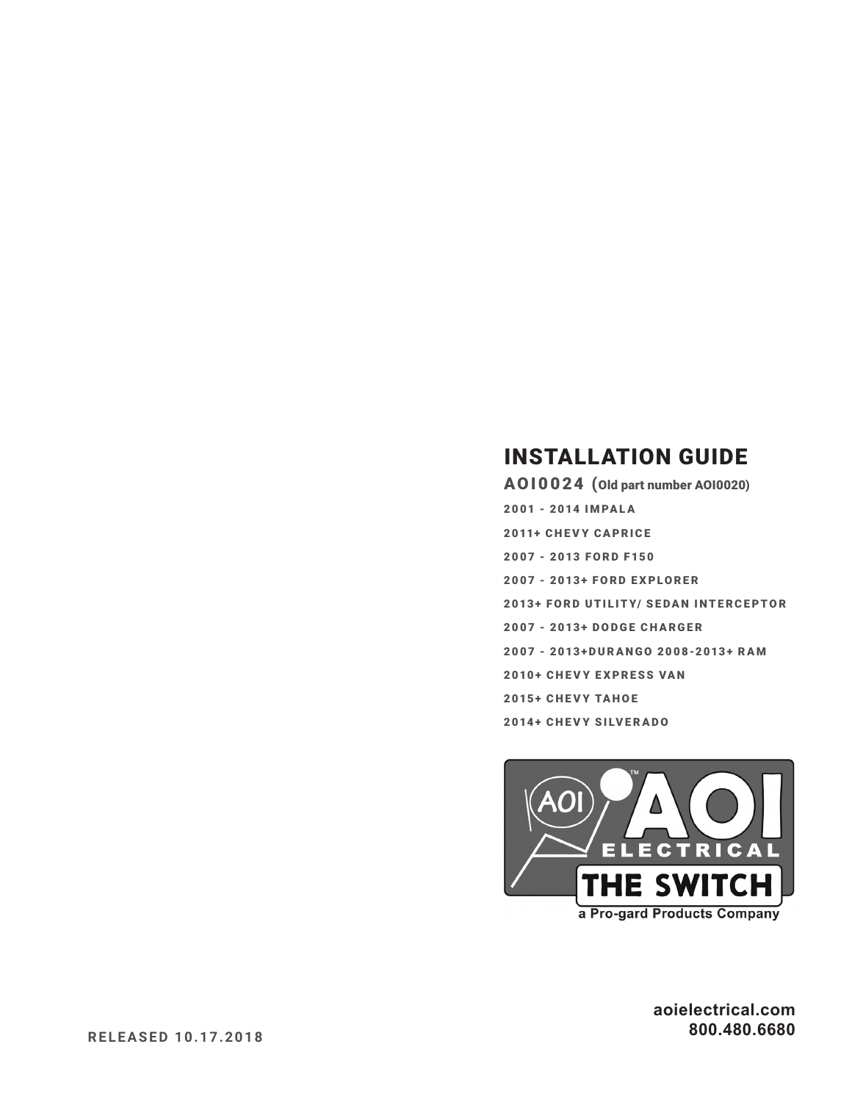### **INSTALLATION GUIDE**

A010024 (Old part number A010020) 2001 - 2014 IMPALA **2011+ CHEVY CAPRICE** 2007 - 2013 FORD F150 2007 - 2013+ FORD EXPLORER 2013+ FORD UTILITY/ SEDAN INTERCEPTOR 2007 - 2013+ DODGE CHARGER 2007 - 2013+DURANGO 2008-2013+ RAM 2010+ CHEVY EXPRESS VAN 2015+ CHEVY TAHOE **2014+ CHEVY SILVERADO** 



aoielectrical.com 800.480.6680

**RELEASED 10.17.2018**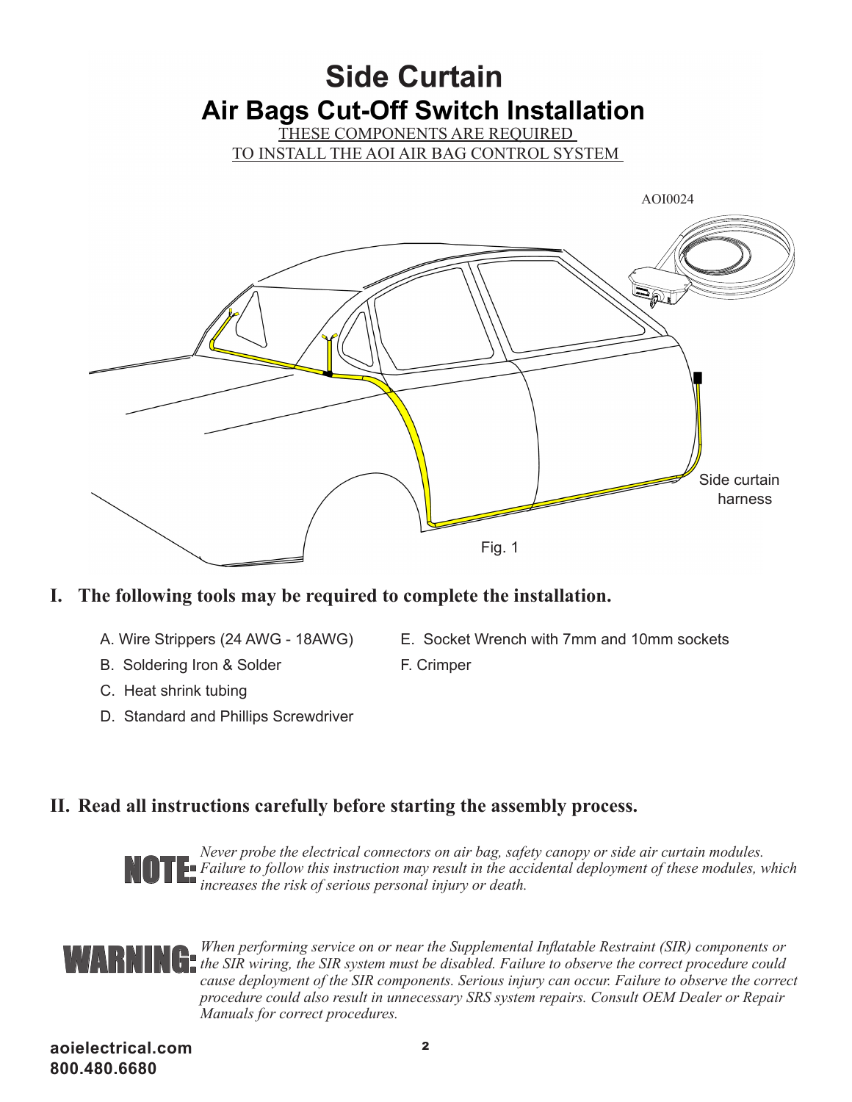### **Side Curtain Air Bags Cut-Off Switch Installation**

THESE COMPONENTS ARE REQUIRED

TO INSTALL THE AOI AIR BAG CONTROL SYSTEM



#### **I. The following tools may be required to complete the installation.**

- 
- B. Soldering Iron & Solder F. Crimper
- C. Heat shrink tubing
- D. Standard and Phillips Screwdriver
- A. Wire Strippers (24 AWG 18AWG) E. Socket Wrench with 7mm and 10mm sockets
	-

#### **II. Read all instructions carefully before starting the assembly process.**



*Never probe the electrical connectors on air bag, safety canopy or side air curtain modules.*  **Failure to follow this instruction may result in the accidental deployment of these modules, which increases the risk of serious personal injury or death.** *increases the risk of serious personal injury or death.*

## WARNING:

*When performing service on or near the Supplemental Inflatable Restraint (SIR) components or the SIR wiring, the SIR system must be disabled. Failure to observe the correct procedure could cause deployment of the SIR components. Serious injury can occur. Failure to observe the correct procedure could also result in unnecessary SRS system repairs. Consult OEM Dealer or Repair Manuals for correct procedures.*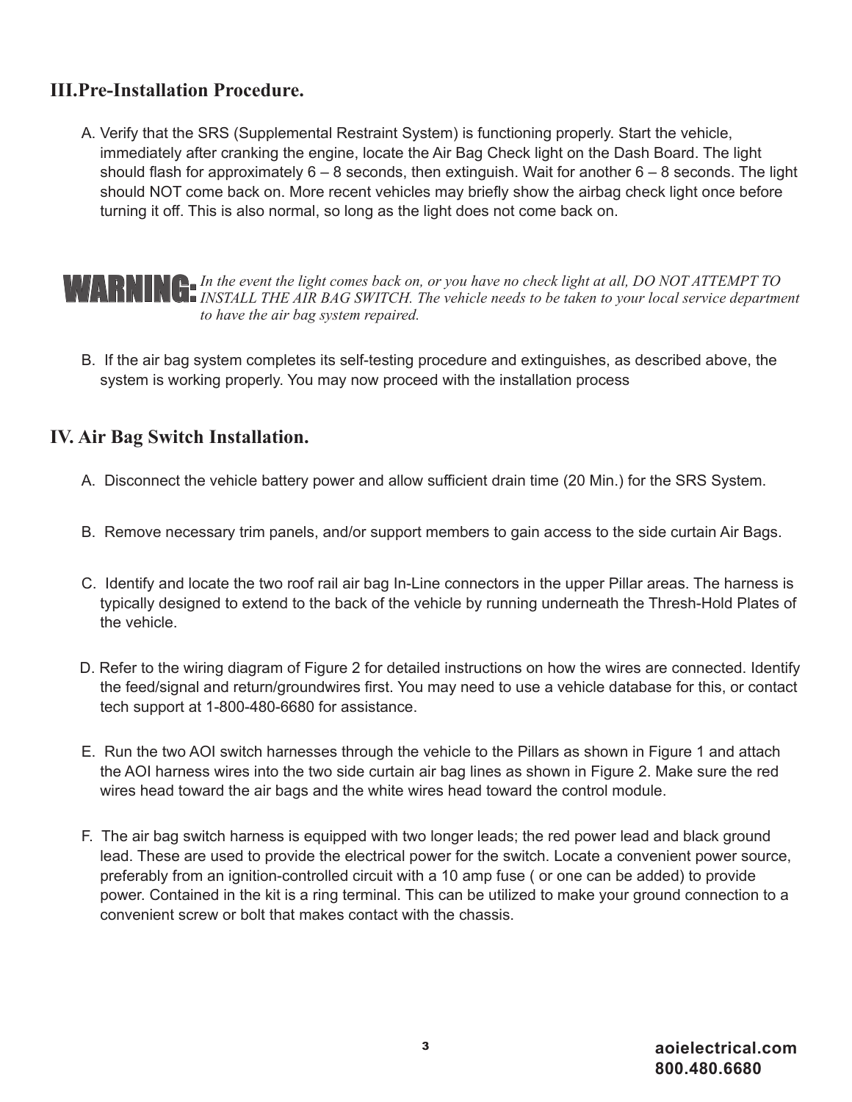#### **III.Pre-Installation Procedure.**

A. Verify that the SRS (Supplemental Restraint System) is functioning properly. Start the vehicle, immediately after cranking the engine, locate the Air Bag Check light on the Dash Board. The light should flash for approximately  $6 - 8$  seconds, then extinguish. Wait for another  $6 - 8$  seconds. The light should NOT come back on. More recent vehicles may briefly show the airbag check light once before turning it off. This is also normal, so long as the light does not come back on.

*In the event the light comes back on, or you have no check light at all, DO NOT ATTEMPT TO*  **INGERING:** In the event the light comes back on, or you have no check light at all, DO NOT ATTEMPT TO<br>WARNING: INSTALL THE AIR BAG SWITCH. The vehicle needs to be taken to your local service department *to have the air bag system repaired.*

B. If the air bag system completes its self-testing procedure and extinguishes, as described above, the system is working properly. You may now proceed with the installation process

#### **IV. Air Bag Switch Installation.**

- A. Disconnect the vehicle battery power and allow sufficient drain time (20 Min.) for the SRS System.
- B. Remove necessary trim panels, and/or support members to gain access to the side curtain Air Bags.
- C. Identify and locate the two roof rail air bag In-Line connectors in the upper Pillar areas. The harness is typically designed to extend to the back of the vehicle by running underneath the Thresh-Hold Plates of the vehicle.
- D. Refer to the wiring diagram of Figure 2 for detailed instructions on how the wires are connected. Identify the feed/signal and return/groundwires first. You may need to use a vehicle database for this, or contact tech support at 1-800-480-6680 for assistance.
- E. Run the two AOI switch harnesses through the vehicle to the Pillars as shown in Figure 1 and attach the AOI harness wires into the two side curtain air bag lines as shown in Figure 2. Make sure the red wires head toward the air bags and the white wires head toward the control module.
- F. The air bag switch harness is equipped with two longer leads; the red power lead and black ground lead. These are used to provide the electrical power for the switch. Locate a convenient power source, preferably from an ignition-controlled circuit with a 10 amp fuse ( or one can be added) to provide power. Contained in the kit is a ring terminal. This can be utilized to make your ground connection to a convenient screw or bolt that makes contact with the chassis.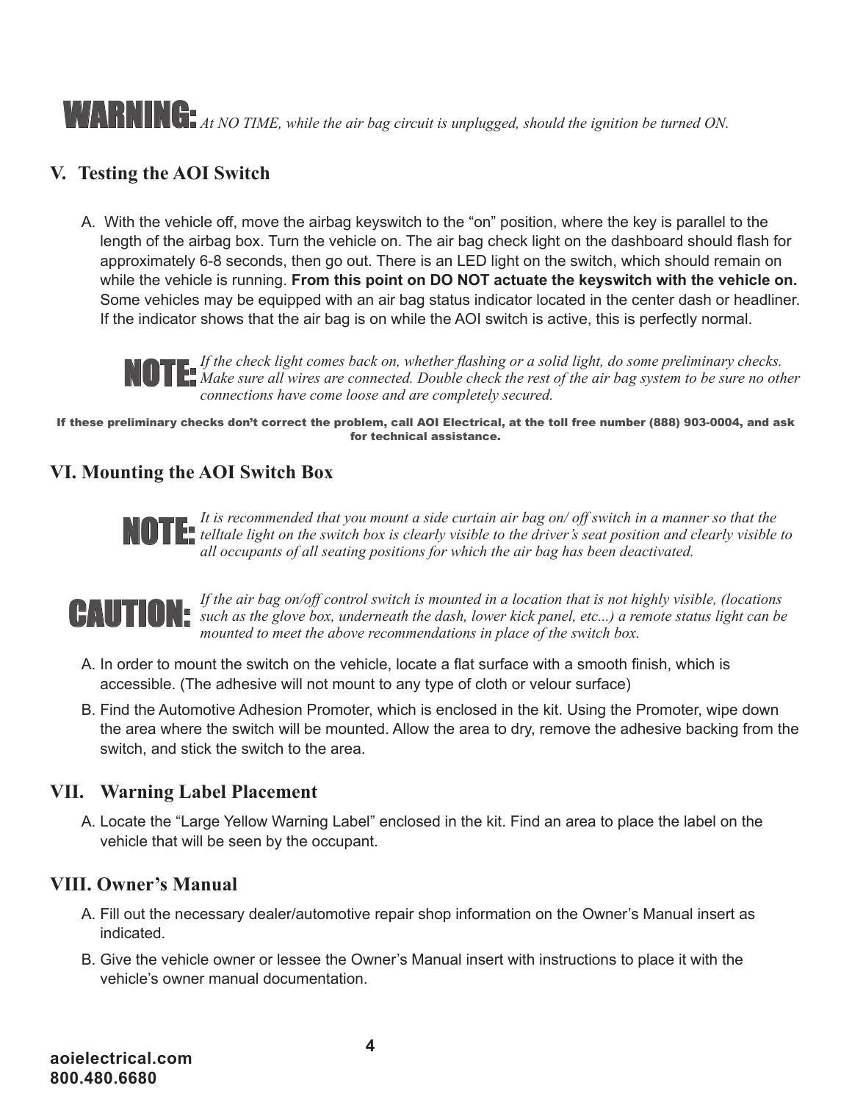# **AT RENER FORM** *At NO TIME, while the air bag circuit is unplugged, should the ignition be turned ON*.

#### **V. Testing the AOI Switch**

A. With the vehicle off, move the airbag keyswitch to the "on" position, where the key is parallel to the length of the airbag box. Turn the vehicle on. The air bag check light on the dashboard should flash for approximately 6-8 seconds, then go out. There is an LED light on the switch, which should remain on while the vehicle is running. **From this point on DO NOT actuate the keyswitch with the vehicle on.**  Some vehicles may be equipped with an air bag status indicator located in the center dash or headliner. If the indicator shows that the air bag is on while the AOI switch is active, this is perfectly normal.

*If the check light comes back on, whether flashing or a solid light, do some preliminary checks.*  **MOTE:** If the check light comes back on, whether flashing or a solia light, ao some preliminary checks.<br>NOTE: Make sure all wires are connected. Double check the rest of the air bag system to be sure no other *connections have come loose and are completely secured.* 

If these preliminary checks don't correct the problem, call AOI Electrical, at the toll free number (888) 903-0004, and ask for technical assistance.

#### **VI. Mounting the AOI Switch Box**

*It is recommended that you mount a side curtain air bag on/ off switch in a manner so that the telltale light on the switch box is clearly visible to the driver's seat position and clearly visible to*  **a** *all is recommended that you mount a stae curriant air bag on/ off switch in a manner all beliable light on the switch box is clearly visible to the driver's seat position and call occupants of all seating positions* 



*If the air bag on/off control switch is mounted in a location that is not highly visible, (locations*  **CAUTION:** *such as the glove box, underneath the dash, lower kick panel, etc...) a remote status light can be* mounted to meet the ghove recommendations in place of the switch box. *mounted to meet the above recommendations in place of the switch box.*

- A. In order to mount the switch on the vehicle, locate a flat surface with a smooth finish, which is accessible. (The adhesive will not mount to any type of cloth or velour surface)
- B. Find the Automotive Adhesion Promoter, which is enclosed in the kit. Using the Promoter, wipe down the area where the switch will be mounted. Allow the area to dry, remove the adhesive backing from the switch, and stick the switch to the area.

#### **VII. Warning Label Placement**

A. Locate the "Large Yellow Warning Label" enclosed in the kit. Find an area to place the label on the vehicle that will be seen by the occupant.

#### **VIII. Owner's Manual**

- A. Fill out the necessary dealer/automotive repair shop information on the Owner's Manual insert as indicated.
- B. Give the vehicle owner or lessee the Owner's Manual insert with instructions to place it with the vehicle's owner manual documentation.